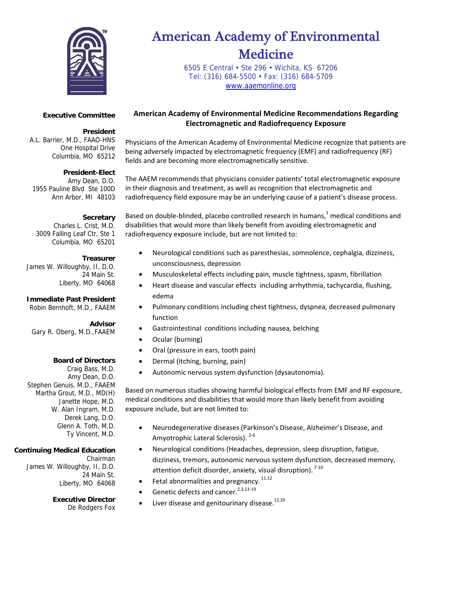

# American Academy of Environmental Medicine

 6505 E Central • Ste 296 • Wichita, KS 67206 Tel: (316) 684-5500 • Fax: (316) 684-5709 www.aaemonline.org

#### **Executive Committee**

#### **President**

A.L. Barrier, M.D., FAAO-HNS One Hospital Drive Columbia, MO 65212

## **President-Elect**

Amy Dean, D.O. 1955 Pauline Blvd Ste 100D Ann Arbor, MI 48103

#### **Secretary**

Charles L. Crist, M.D. 3009 Falling Leaf Ctr, Ste 1 Columbia, MO 65201

#### **Treasurer**

James W. Willoughby, II, D.O. 24 Main St. Liberty, MO 64068

# **Immediate Past President**

Robin Bernhoft, M.D., FAAEM

# **Advisor**

Gary R. Oberg, M.D.,FAAEM

## **Board of Directors**

Craig Bass, M.D. Amy Dean, D.O. Stephen Genuis, M.D., FAAEM Martha Grout, M.D., MD(H) Janette Hope, M.D. W. Alan Ingram, M.D. Derek Lang, D.O. Glenn A. Toth, M.D. Ty Vincent, M.D.

# **Continuing Medical Education**

Chairman James W. Willoughby, II, D.O. 24 Main St. Liberty, MO 64068

# **Executive Director**

De Rodgers Fox

**American Academy of Environmental Medicine Recommendations Regarding Electromagnetic and Radiofrequency Exposure**

Physicians of the American Academy of Environmental Medicine recognize that patients are being adversely impacted by electromagnetic frequency (EMF) and radiofrequency (RF) fields and are becoming more electromagnetically sensitive.

The AAEM recommends that physicians consider patients' total electromagnetic exposure in their diagnosis and treatment, as well as recognition that electromagnetic and radiofrequency field exposure may be an underlying cause of a patient's disease process.

Based on double-blinded, placebo controlled research in humans, $1$  medical conditions and disabilities that would more than likely benefit from avoiding electromagnetic and radiofrequency exposure include, but are not limited to:

- Neurological conditions such as paresthesias, somnolence, cephalgia, dizziness, unconsciousness, depression
- Musculoskeletal effects including pain, muscle tightness, spasm, fibrillation
- Heart disease and vascular effects including arrhythmia, tachycardia, flushing, edema
- Pulmonary conditions including chest tightness, dyspnea, decreased pulmonary function
- Gastrointestinal conditions including nausea, belching
- Ocular (burning)
- Oral (pressure in ears, tooth pain)
- Dermal (itching, burning, pain)
- Autonomic nervous system dysfunction (dysautonomia).

Based on numerous studies showing harmful biological effects from EMF and RF exposure, medical conditions and disabilities that would more than likely benefit from avoiding exposure include, but are not limited to:

- Neurodegenerative diseases (Parkinson's Disease, Alzheimer's Disease, and Amyotrophic Lateral Sclerosis). <sup>2-6</sup>
- Neurological conditions (Headaches, depression, sleep disruption, fatigue, dizziness, tremors, autonomic nervous system dysfunction, decreased memory, attention deficit disorder, anxiety, visual disruption).  $7-10$
- Fetal abnormalities and pregnancy.  $11,12$
- Genetic defects and cancer.<sup>2,3,13-19</sup>
- Liver disease and genitourinary disease.<sup>12,20</sup>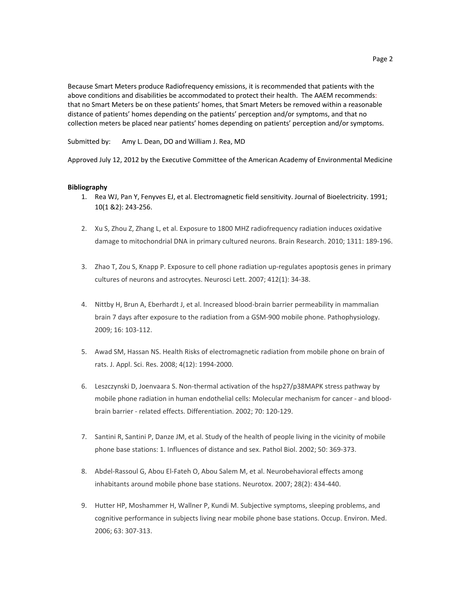Because Smart Meters produce Radiofrequency emissions, it is recommended that patients with the above conditions and disabilities be accommodated to protect their health. The AAEM recommends: that no Smart Meters be on these patients' homes, that Smart Meters be removed within a reasonable distance of patients' homes depending on the patients' perception and/or symptoms, and that no collection meters be placed near patients' homes depending on patients' perception and/or symptoms.

Submitted by: Amy L. Dean, DO and William J. Rea, MD

Approved July 12, 2012 by the Executive Committee of the American Academy of Environmental Medicine

#### **Bibliography**

- 1. Rea WJ, Pan Y, Fenyves EJ, et al. Electromagnetic field sensitivity. Journal of Bioelectricity. 1991; 10(1 &2): 243‐256.
- 2. Xu S, Zhou Z, Zhang L, et al. Exposure to 1800 MHZ radiofrequency radiation induces oxidative damage to mitochondrial DNA in primary cultured neurons. Brain Research. 2010; 1311: 189-196.
- 3. Zhao T, Zou S, Knapp P. Exposure to cell phone radiation up‐regulates apoptosis genes in primary cultures of neurons and astrocytes. Neurosci Lett. 2007; 412(1): 34‐38.
- 4. Nittby H, Brun A, Eberhardt J, et al. Increased blood‐brain barrier permeability in mammalian brain 7 days after exposure to the radiation from a GSM‐900 mobile phone. Pathophysiology. 2009; 16: 103‐112.
- 5. Awad SM, Hassan NS. Health Risks of electromagnetic radiation from mobile phone on brain of rats. J. Appl. Sci. Res. 2008; 4(12): 1994‐2000.
- 6. Leszczynski D, Joenvaara S. Non‐thermal activation of the hsp27/p38MAPK stress pathway by mobile phone radiation in human endothelial cells: Molecular mechanism for cancer ‐ and blood‐ brain barrier ‐ related effects. Differentiation. 2002; 70: 120‐129.
- 7. Santini R, Santini P, Danze JM, et al. Study of the health of people living in the vicinity of mobile phone base stations: 1. Influences of distance and sex. Pathol Biol. 2002; 50: 369‐373.
- 8. Abdel-Rassoul G, Abou El-Fateh O, Abou Salem M, et al. Neurobehavioral effects among inhabitants around mobile phone base stations. Neurotox. 2007; 28(2): 434‐440.
- 9. Hutter HP, Moshammer H, Wallner P, Kundi M. Subjective symptoms, sleeping problems, and cognitive performance in subjects living near mobile phone base stations. Occup. Environ. Med. 2006; 63: 307‐313.